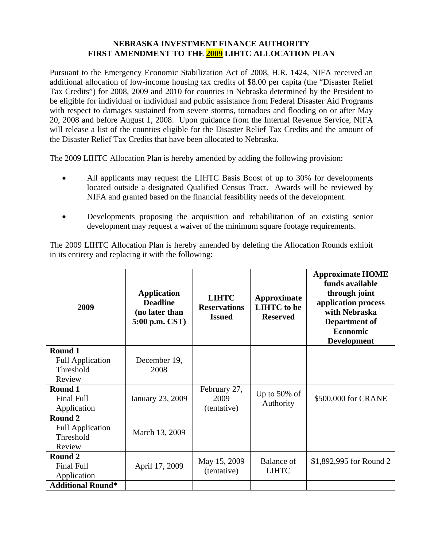## **NEBRASKA INVESTMENT FINANCE AUTHORITY FIRST AMENDMENT TO THE 2009 LIHTC ALLOCATION PLAN**

Pursuant to the Emergency Economic Stabilization Act of 2008, H.R. 1424, NIFA received an additional allocation of low-income housing tax credits of \$8.00 per capita (the "Disaster Relief Tax Credits") for 2008, 2009 and 2010 for counties in Nebraska determined by the President to be eligible for individual or individual and public assistance from Federal Disaster Aid Programs with respect to damages sustained from severe storms, tornadoes and flooding on or after May 20, 2008 and before August 1, 2008. Upon guidance from the Internal Revenue Service, NIFA will release a list of the counties eligible for the Disaster Relief Tax Credits and the amount of the Disaster Relief Tax Credits that have been allocated to Nebraska.

The 2009 LIHTC Allocation Plan is hereby amended by adding the following provision:

- All applicants may request the LIHTC Basis Boost of up to 30% for developments located outside a designated Qualified Census Tract. Awards will be reviewed by NIFA and granted based on the financial feasibility needs of the development.
- Developments proposing the acquisition and rehabilitation of an existing senior development may request a waiver of the minimum square footage requirements.

The 2009 LIHTC Allocation Plan is hereby amended by deleting the Allocation Rounds exhibit in its entirety and replacing it with the following:

| 2009                                                      | <b>Application</b><br><b>Deadline</b><br>(no later than<br>5:00 p.m. CST) | <b>LIHTC</b><br><b>Reservations</b><br><b>Issued</b> | Approximate<br><b>LIHTC</b> to be<br><b>Reserved</b> | <b>Approximate HOME</b><br>funds available<br>through joint<br>application process<br>with Nebraska<br>Department of<br><b>Economic</b><br><b>Development</b> |
|-----------------------------------------------------------|---------------------------------------------------------------------------|------------------------------------------------------|------------------------------------------------------|---------------------------------------------------------------------------------------------------------------------------------------------------------------|
| Round 1<br><b>Full Application</b>                        | December 19,                                                              |                                                      |                                                      |                                                                                                                                                               |
| Threshold<br>Review                                       | 2008                                                                      |                                                      |                                                      |                                                                                                                                                               |
| Round 1<br><b>Final Full</b><br>Application               | January 23, 2009                                                          | February 27,<br>2009<br>(tentative)                  | Up to $50\%$ of<br>Authority                         | \$500,000 for CRANE                                                                                                                                           |
| Round 2<br><b>Full Application</b><br>Threshold<br>Review | March 13, 2009                                                            |                                                      |                                                      |                                                                                                                                                               |
| Round 2<br><b>Final Full</b><br>Application               | April 17, 2009                                                            | May 15, 2009<br>(tentative)                          | Balance of<br><b>LIHTC</b>                           | \$1,892,995 for Round 2                                                                                                                                       |
| <b>Additional Round*</b>                                  |                                                                           |                                                      |                                                      |                                                                                                                                                               |